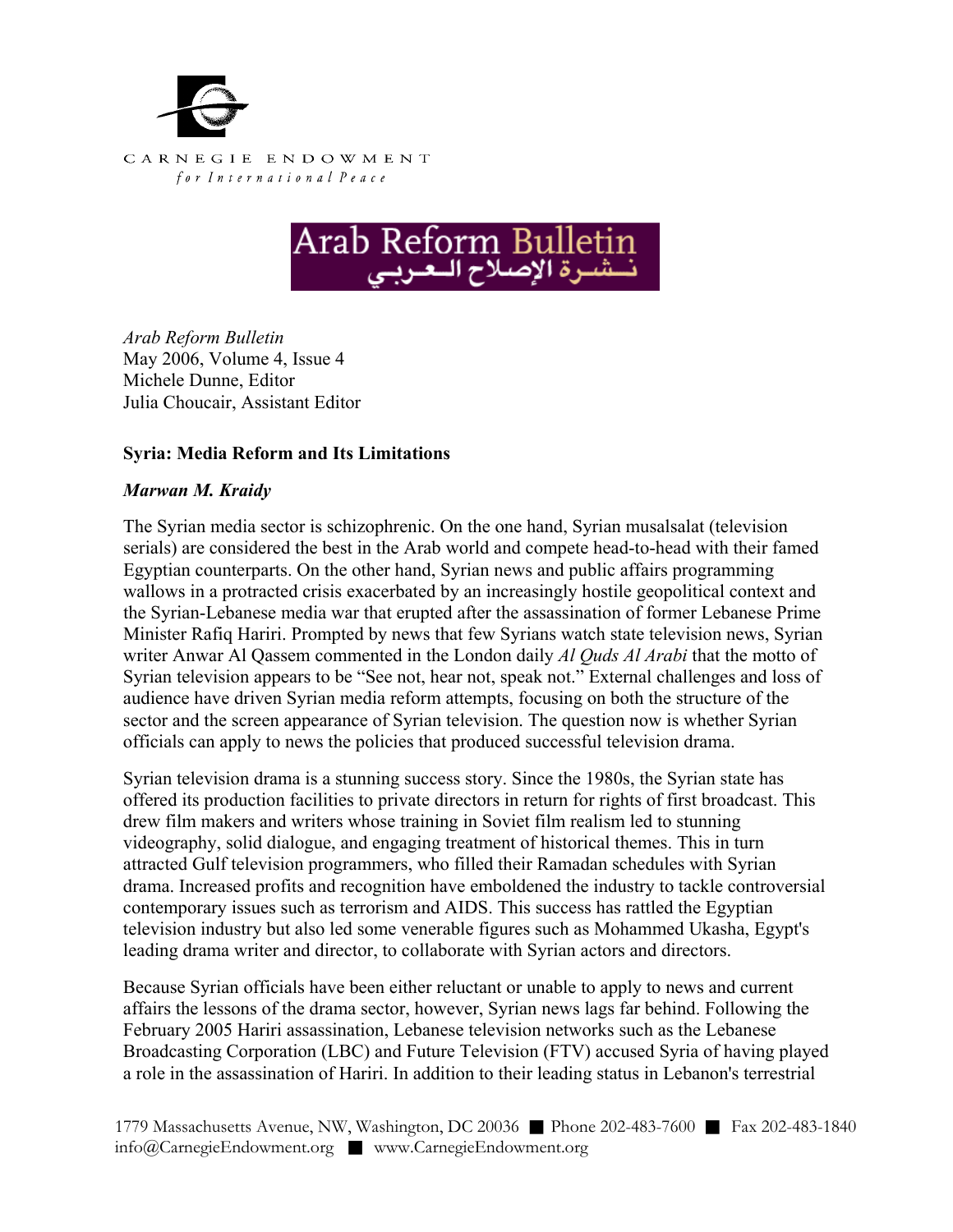



*Arab Reform Bulletin*  May 2006, Volume 4, Issue 4 Michele Dunne, Editor Julia Choucair, Assistant Editor

## **Syria: Media Reform and Its Limitations**

## *Marwan M. Kraidy*

The Syrian media sector is schizophrenic. On the one hand, Syrian musalsalat (television serials) are considered the best in the Arab world and compete head-to-head with their famed Egyptian counterparts. On the other hand, Syrian news and public affairs programming wallows in a protracted crisis exacerbated by an increasingly hostile geopolitical context and the Syrian-Lebanese media war that erupted after the assassination of former Lebanese Prime Minister Rafiq Hariri. Prompted by news that few Syrians watch state television news, Syrian writer Anwar Al Qassem commented in the London daily *Al Quds Al Arabi* that the motto of Syrian television appears to be "See not, hear not, speak not." External challenges and loss of audience have driven Syrian media reform attempts, focusing on both the structure of the sector and the screen appearance of Syrian television. The question now is whether Syrian officials can apply to news the policies that produced successful television drama.

Syrian television drama is a stunning success story. Since the 1980s, the Syrian state has offered its production facilities to private directors in return for rights of first broadcast. This drew film makers and writers whose training in Soviet film realism led to stunning videography, solid dialogue, and engaging treatment of historical themes. This in turn attracted Gulf television programmers, who filled their Ramadan schedules with Syrian drama. Increased profits and recognition have emboldened the industry to tackle controversial contemporary issues such as terrorism and AIDS. This success has rattled the Egyptian television industry but also led some venerable figures such as Mohammed Ukasha, Egypt's leading drama writer and director, to collaborate with Syrian actors and directors.

Because Syrian officials have been either reluctant or unable to apply to news and current affairs the lessons of the drama sector, however, Syrian news lags far behind. Following the February 2005 Hariri assassination, Lebanese television networks such as the Lebanese Broadcasting Corporation (LBC) and Future Television (FTV) accused Syria of having played a role in the assassination of Hariri. In addition to their leading status in Lebanon's terrestrial